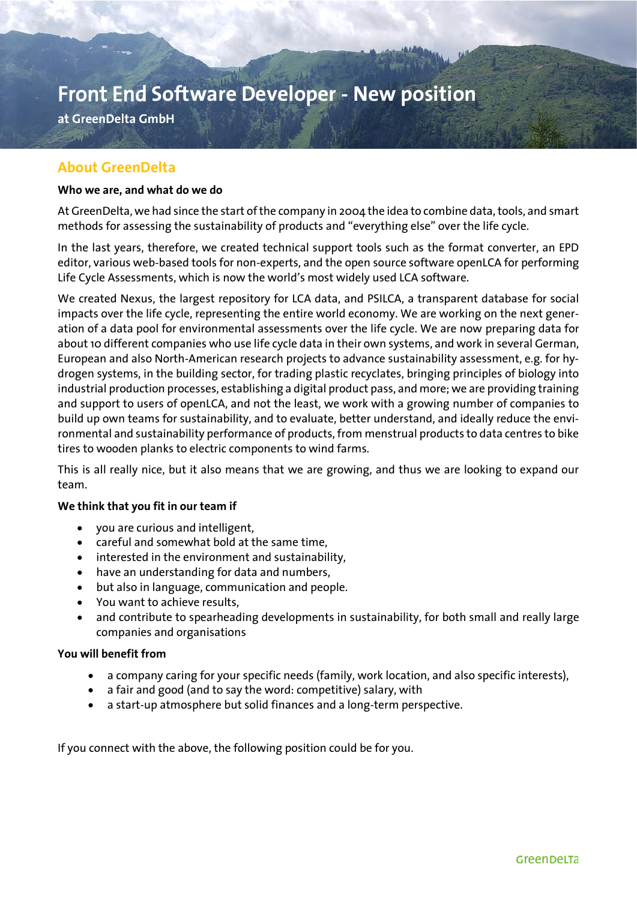# Front End Software Developer - New position

**at GreenDelta GmbH**

### **About GreenDelta**

#### **Who we are, and what do we do**

At GreenDelta, we had since the start of the company in 2004 the idea to combine data, tools, and smart methods for assessing the sustainability of products and "everything else" over the life cycle.

In the last years, therefore, we created technical support tools such as the format converter, an EPD editor, various web-based tools for non-experts, and the open source software openLCA for performing Life Cycle Assessments, which is now the world's most widely used LCA software.

We created Nexus, the largest repository for LCA data, and PSILCA, a transparent database for social impacts over the life cycle, representing the entire world economy. We are working on the next generation of a data pool for environmental assessments over the life cycle. We are now preparing data for about 10 different companies who use life cycle data in their own systems, and work in several German, European and also North-American research projects to advance sustainability assessment, e.g. for hydrogen systems, in the building sector, for trading plastic recyclates, bringing principles of biology into industrial production processes, establishing a digital product pass, and more; we are providing training and support to users of openLCA, and not the least, we work with a growing number of companies to build up own teams for sustainability, and to evaluate, better understand, and ideally reduce the environmental and sustainability performance of products, from menstrual products to data centres to bike tires to wooden planks to electric components to wind farms.

This is all really nice, but it also means that we are growing, and thus we are looking to expand our team.

#### **We think that you fit in our team if**

- you are curious and intelligent,
- careful and somewhat bold at the same time,
- interested in the environment and sustainability,
- have an understanding for data and numbers,
- but also in language, communication and people.
- You want to achieve results,
- and contribute to spearheading developments in sustainability, for both small and really large companies and organisations

#### **You will benefit from**

- a company caring for your specific needs (family, work location, and also specific interests),
- a fair and good (and to say the word: competitive) salary, with
- a start-up atmosphere but solid finances and a long-term perspective.

If you connect with the above, the following position could be for you.